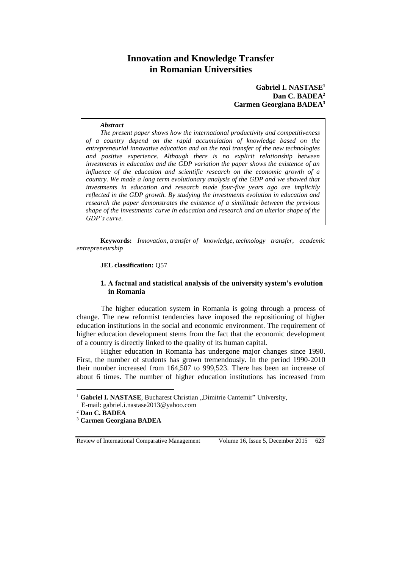# **Innovation and Knowledge Transfer in Romanian Universities**

**Gabriel I. NASTASE<sup>1</sup> Dan C. BADEA<sup>2</sup> Carmen Georgiana BADEA<sup>3</sup>**

#### *Abstract*

*The present paper shows how the international productivity and competitiveness of a country depend on the rapid accumulation of knowledge based on the entrepreneurial innovative education and on the real transfer of the new technologies and positive experience. Although there is no explicit relationship between investments in education and the GDP variation the paper shows the existence of an influence of the education and scientific research on the economic growth of a country. We made a long term evolutionary analysis of the GDP and we showed that investments in education and research made four-five years ago are implicitly reflected in the GDP growth. By studying the investments evolution in education and research the paper demonstrates the existence of a similitude between the previous shape of the investments' curve in education and research and an ulterior shape of the GDP's curve.* 

**Keywords:** *Innovation, transfer of knowledge, technology transfer, academic entrepreneurship*

#### **JEL classification:** Q57

## **1. A factual and statistical analysis of the university system's evolution in Romania**

The higher education system in Romania is going through a process of change. The new reformist tendencies have imposed the repositioning of higher education institutions in the social and economic environment. The requirement of higher education development stems from the fact that the economic development of a country is directly linked to the quality of its human capital.

Higher education in Romania has undergone major changes since 1990. First, the number of students has grown tremendously. In the period 1990-2010 their number increased from 164,507 to 999,523. There has been an increase of about 6 times. The number of higher education institutions has increased from

 $\overline{a}$ 

<sup>&</sup>lt;sup>1</sup> Gabriel I. NASTASE, Bucharest Christian "Dimitrie Cantemir" University,

E-mail: [gabriel.i.nastase2013@yahoo.com](mailto:gabriel.i.nastase2013@yahoo.com)

<sup>2</sup> **Dan C. BADEA**

<sup>3</sup> **Carmen Georgiana BADEA**

Review of International Comparative Management Volume 16, Issue 5, December 2015 623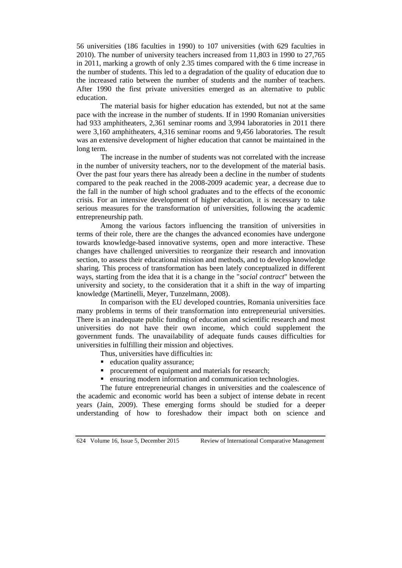56 universities (186 faculties in 1990) to 107 universities (with 629 faculties in 2010). The number of university teachers increased from 11,803 in 1990 to 27,765 in 2011, marking a growth of only 2.35 times compared with the 6 time increase in the number of students. This led to a degradation of the quality of education due to the increased ratio between the number of students and the number of teachers. After 1990 the first private universities emerged as an alternative to public education.

The material basis for higher education has extended, but not at the same pace with the increase in the number of students. If in 1990 Romanian universities had 933 amphitheaters, 2,361 seminar rooms and 3,994 laboratories in 2011 there were 3,160 amphitheaters, 4,316 seminar rooms and 9,456 laboratories. The result was an extensive development of higher education that cannot be maintained in the long term.

The increase in the number of students was not correlated with the increase in the number of university teachers, nor to the development of the material basis. Over the past four years there has already been a decline in the number of students compared to the peak reached in the 2008-2009 academic year, a decrease due to the fall in the number of high school graduates and to the effects of the economic crisis. For an intensive development of higher education, it is necessary to take serious measures for the transformation of universities, following the academic entrepreneurship path.

Among the various factors influencing the transition of universities in terms of their role, there are the changes the advanced economies have undergone towards knowledge-based innovative systems, open and more interactive. These changes have challenged universities to reorganize their research and innovation section, to assess their educational mission and methods, and to develop knowledge sharing. This process of transformation has been lately conceptualized in different ways, starting from the idea that it is a change in the "*social contract*" between the university and society, to the consideration that it a shift in the way of imparting knowledge (Martinelli, Meyer, Tunzelmann, 2008).

In comparison with the EU developed countries, Romania universities face many problems in terms of their transformation into entrepreneurial universities. There is an inadequate public funding of education and scientific research and most universities do not have their own income, which could supplement the government funds. The unavailability of adequate funds causes difficulties for universities in fulfilling their mission and objectives.

Thus, universities have difficulties in:

- education quality assurance;
- procurement of equipment and materials for research;
- ensuring modern information and communication technologies.

The future entrepreneurial changes in universities and the coalescence of the academic and economic world has been a subject of intense debate in recent years (Jain, 2009). These emerging forms should be studied for a deeper understanding of how to foreshadow their impact both on science and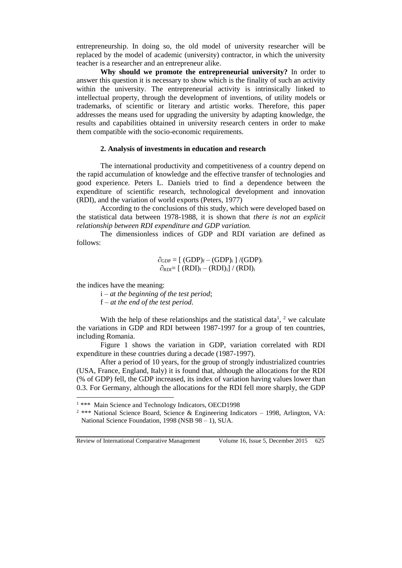entrepreneurship. In doing so, the old model of university researcher will be replaced by the model of academic (university) contractor, in which the university teacher is a researcher and an entrepreneur alike.

**Why should we promote the entrepreneurial university?** In order to answer this question it is necessary to show which is the finality of such an activity within the university. The entrepreneurial activity is intrinsically linked to intellectual property, through the development of inventions, of utility models or trademarks, of scientific or literary and artistic works. Therefore, this paper addresses the means used for upgrading the university by adapting knowledge, the results and capabilities obtained in university research centers in order to make them compatible with the socio-economic requirements.

# **2. Analysis of investments in education and research**

The international productivity and competitiveness of a country depend on the rapid accumulation of knowledge and the effective transfer of technologies and good experience. Peters L. Daniels tried to find a dependence between the expenditure of scientific research, technological development and innovation (RDI), and the variation of world exports (Peters, 1977)

According to the conclusions of this study, which were developed based on the statistical data between 1978-1988, it is shown that *there is not an explicit relationship between RDI expenditure and GDP variation.*

The dimensionless indices of GDP and RDI variation are defined as follows:

$$
\partial_{\text{GDP}} = [\ (\text{GDP})_{\text{f}} - (\text{GDP})_{\text{i}}\ ]\ / (\text{GDP})_{\text{i}}
$$
  

$$
\partial_{\text{RDI}} = [\ (\text{RDI})_{\text{f}} - (\text{RDI})_{\text{i}}]\ / \ (\text{RDI})_{\text{i}}
$$

the indices have the meaning:

 $\overline{a}$ 

i – *at the beginning of the test period*;

f – *at the end of the test period*.

With the help of these relationships and the statistical data<sup>1</sup>, <sup>2</sup> we calculate the variations in GDP and RDI between 1987-1997 for a group of ten countries, including Romania.

Figure 1 shows the variation in GDP, variation correlated with RDI expenditure in these countries during a decade (1987-1997).

After a period of 10 years, for the group of strongly industrialized countries (USA, France, England, Italy) it is found that, although the allocations for the RDI (% of GDP) fell, the GDP increased, its index of variation having values lower than 0.3. For Germany, although the allocations for the RDI fell more sharply, the GDP

Review of International Comparative Management Volume 16, Issue 5, December 2015 625

<sup>&</sup>lt;sup>1</sup> \*\*\* Main Science and Technology Indicators, OECD1998

<sup>&</sup>lt;sup>2</sup> \*\*\* National Science Board, Science & Engineering Indicators – 1998, Arlington, VA: National Science Foundation, 1998 (NSB 98 – 1), SUA.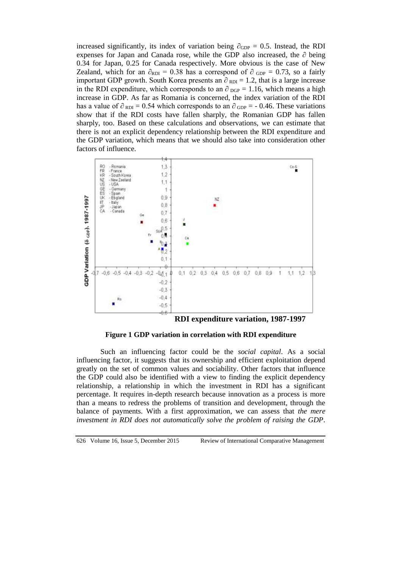increased significantly, its index of variation being  $\partial_{GDP} = 0.5$ . Instead, the RDI expenses for Japan and Canada rose, while the GDP also increased, the ∂ being 0.34 for Japan, 0.25 for Canada respectively. More obvious is the case of New Zealand, which for an  $\partial_{RDI} = 0.38$  has a correspond of  $\partial_{RDP} = 0.73$ , so a fairly important GDP growth. South Korea presents an  $\partial_{RDI} = 1.2$ , that is a large increase in the RDI expenditure, which corresponds to an  $\partial_{\text{DGP}} = 1.16$ , which means a high increase in GDP. As far as Romania is concerned, the index variation of the RDI has a value of  $\partial_{RDI} = 0.54$  which corresponds to an  $\partial_{GDP} = -0.46$ . These variations show that if the RDI costs have fallen sharply, the Romanian GDP has fallen sharply, too. Based on these calculations and observations, we can estimate that there is not an explicit dependency relationship between the RDI expenditure and the GDP variation, which means that we should also take into consideration other factors of influence.



**RDI expenditure variation, 1987-1997**

**Figure 1 GDP variation in correlation with RDI expenditure**

Such an influencing factor could be the *social capital*. As a social influencing factor, it suggests that its ownership and efficient exploitation depend greatly on the set of common values and sociability. Other factors that influence the GDP could also be identified with a view to finding the explicit dependency relationship, a relationship in which the investment in RDI has a significant percentage. It requires in-depth research because innovation as a process is more than a means to redress the problems of transition and development, through the balance of payments. With a first approximation, we can assess that *the mere investment in RDI does not automatically solve the problem of raising the GDP*.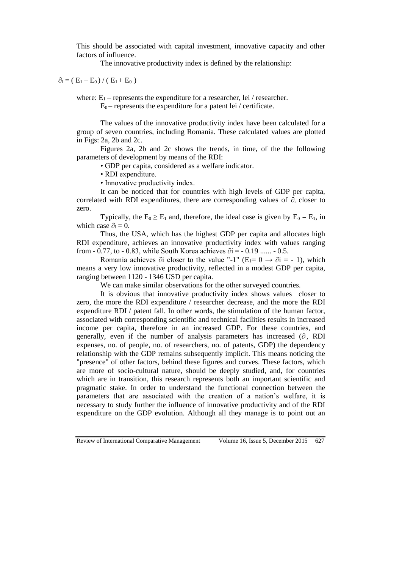This should be associated with capital investment, innovative capacity and other factors of influence.

The innovative productivity index is defined by the relationship:

$$
\partial_i = (E_1 - E_0) / (E_1 + E_0)
$$

where:  $E_1$  – represents the expenditure for a researcher, lei / researcher.  $E_0$  – represents the expenditure for a patent lei / certificate.

The values of the innovative productivity index have been calculated for a group of seven countries, including Romania. These calculated values are plotted in Figs: 2a, 2b and 2c.

Figures 2a, 2b and 2c shows the trends, in time, of the the following parameters of development by means of the RDI:

• GDP per capita, considered as a welfare indicator.

• RDI expenditure.

• Innovative productivity index.

It can be noticed that for countries with high levels of GDP per capita, correlated with RDI expenditures, there are corresponding values of  $\partial_i$  closer to zero.

Typically, the  $E_0 \ge E_1$  and, therefore, the ideal case is given by  $E_0 = E_1$ , in which case  $\partial_i = 0$ .

Thus, the USA, which has the highest GDP per capita and allocates high RDI expenditure, achieves an innovative productivity index with values ranging from - 0.77, to - 0.83, while South Korea achieves  $\partial$ i = - 0.19 ...... - 0.5.

Romania achieves  $\partial i$  closer to the value "-1" (E<sub>1</sub>= 0  $\rightarrow \partial i$  = -1), which means a very low innovative productivity, reflected in a modest GDP per capita, ranging between 1120 - 1346 USD per capita.

We can make similar observations for the other surveyed countries.

It is obvious that innovative productivity index shows values closer to zero, the more the RDI expenditure / researcher decrease, and the more the RDI expenditure RDI / patent fall. In other words, the stimulation of the human factor, associated with corresponding scientific and technical facilities results in increased income per capita, therefore in an increased GDP. For these countries, and generally, even if the number of analysis parameters has increased  $(\partial_i, RDI)$ expenses, no. of people, no. of researchers, no. of patents, GDP) the dependency relationship with the GDP remains subsequently implicit. This means noticing the "presence" of other factors, behind these figures and curves. These factors, which are more of socio-cultural nature, should be deeply studied, and, for countries which are in transition, this research represents both an important scientific and pragmatic stake. In order to understand the functional connection between the parameters that are associated with the creation of a nation's welfare, it is necessary to study further the influence of innovative productivity and of the RDI expenditure on the GDP evolution. Although all they manage is to point out an

Review of International Comparative Management Volume 16, Issue 5, December 2015 627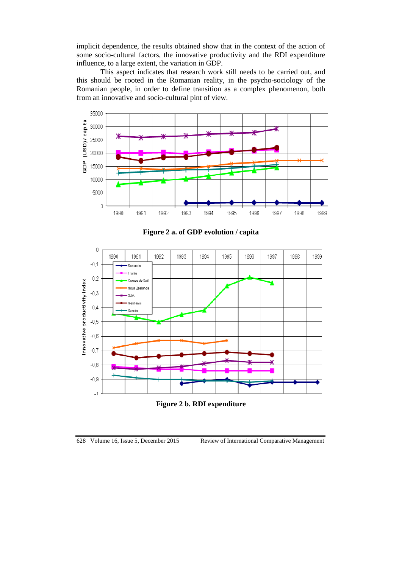implicit dependence, the results obtained show that in the context of the action of some socio-cultural factors, the innovative productivity and the RDI expenditure influence, to a large extent, the variation in GDP.

This aspect indicates that research work still needs to be carried out, and this should be rooted in the Romanian reality, in the psycho-sociology of the Romanian people, in order to define transition as a complex phenomenon, both from an innovative and socio-cultural pint of view.



**Figure 2 a. of GDP evolution / capita** 



**Figure 2 b. RDI expenditure**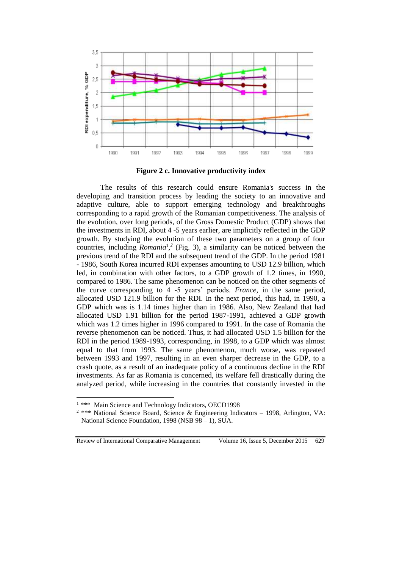

**Figure 2 c. Innovative productivity index**

The results of this research could ensure Romania's success in the developing and transition process by leading the society to an innovative and adaptive culture, able to support emerging technology and breakthroughs corresponding to a rapid growth of the Romanian competitiveness. The analysis of the evolution, over long periods, of the Gross Domestic Product (GDP) shows that the investments in RDI, about 4 -5 years earlier, are implicitly reflected in the GDP growth. By studying the evolution of these two parameters on a group of four countries, including  $Romania^{1,2}$  (Fig. 3), a similarity can be noticed between the previous trend of the RDI and the subsequent trend of the GDP. In the period 1981 - 1986, South Korea incurred RDI expenses amounting to USD 12.9 billion, which led, in combination with other factors, to a GDP growth of 1.2 times, in 1990, compared to 1986. The same phenomenon can be noticed on the other segments of the curve corresponding to 4 -5 years' periods. *France*, in the same period, allocated USD 121.9 billion for the RDI. In the next period, this had, in 1990, a GDP which was is 1.14 times higher than in 1986. Also, New Zealand that had allocated USD 1.91 billion for the period 1987-1991, achieved a GDP growth which was 1.2 times higher in 1996 compared to 1991. In the case of Romania the reverse phenomenon can be noticed. Thus, it had allocated USD 1.5 billion for the RDI in the period 1989-1993, corresponding, in 1998, to a GDP which was almost equal to that from 1993. The same phenomenon, much worse, was repeated between 1993 and 1997, resulting in an even sharper decrease in the GDP, to a crash quote, as a result of an inadequate policy of a continuous decline in the RDI investments. As far as Romania is concerned, its welfare fell drastically during the analyzed period, while increasing in the countries that constantly invested in the

Review of International Comparative Management Volume 16, Issue 5, December 2015 629

 $\overline{a}$ 

<sup>&</sup>lt;sup>1</sup> \*\*\* Main Science and Technology Indicators, OECD1998

<sup>&</sup>lt;sup>2</sup> \*\*\* National Science Board, Science & Engineering Indicators – 1998, Arlington, VA: National Science Foundation, 1998 (NSB 98 - 1), SUA.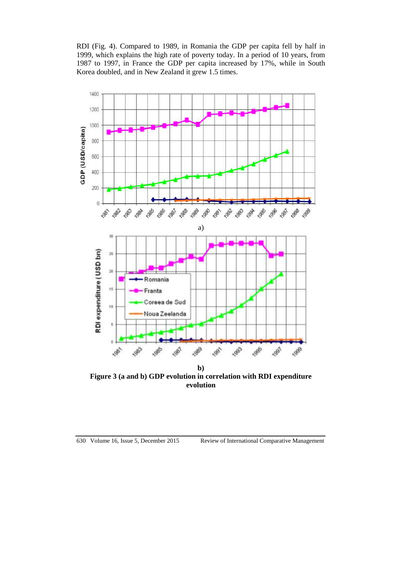RDI (Fig. 4). Compared to 1989, in Romania the GDP per capita fell by half in 1999, which explains the high rate of poverty today. In a period of 10 years, from 1987 to 1997, in France the GDP per capita increased by 17%, while in South Korea doubled, and in New Zealand it grew 1.5 times.



**Figure 3 (a and b) GDP evolution in correlation with RDI expenditure evolution**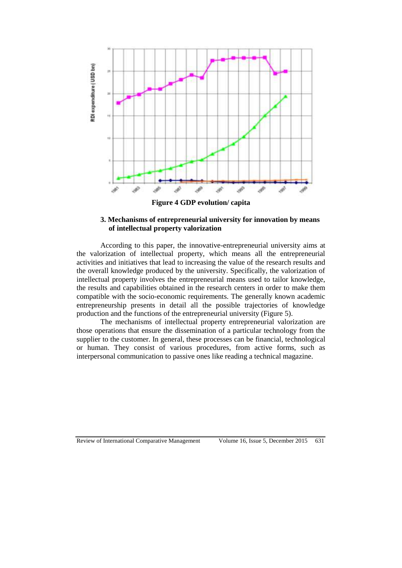

**Figure 4 GDP evolution/ capita**

## **3. Mechanisms of entrepreneurial university for innovation by means of intellectual property valorization**

According to this paper, the innovative-entrepreneurial university aims at the valorization of intellectual property, which means all the entrepreneurial activities and initiatives that lead to increasing the value of the research results and the overall knowledge produced by the university. Specifically, the valorization of intellectual property involves the entrepreneurial means used to tailor knowledge, the results and capabilities obtained in the research centers in order to make them compatible with the socio-economic requirements. The generally known academic entrepreneurship presents in detail all the possible trajectories of knowledge production and the functions of the entrepreneurial university (Figure 5).

The mechanisms of intellectual property entrepreneurial valorization are those operations that ensure the dissemination of a particular technology from the supplier to the customer. In general, these processes can be financial, technological or human. They consist of various procedures, from active forms, such as interpersonal communication to passive ones like reading a technical magazine.

Review of International Comparative Management Volume 16, Issue 5, December 2015 631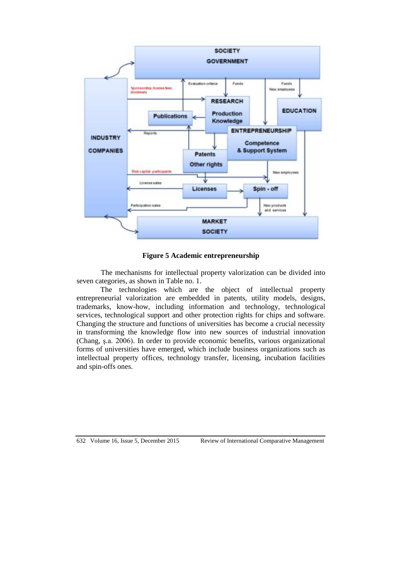

**Figure 5 Academic entrepreneurship**

The mechanisms for intellectual property valorization can be divided into seven categories, as shown in Table no. 1.

The technologies which are the object of intellectual property entrepreneurial valorization are embedded in patents, utility models, designs, trademarks, know-how, including information and technology, technological services, technological support and other protection rights for chips and software. Changing the structure and functions of universities has become a crucial necessity in transforming the knowledge flow into new sources of industrial innovation (Chang, ş.a. 2006). In order to provide economic benefits, various organizational forms of universities have emerged, which include business organizations such as intellectual property offices, technology transfer, licensing, incubation facilities and spin-offs ones.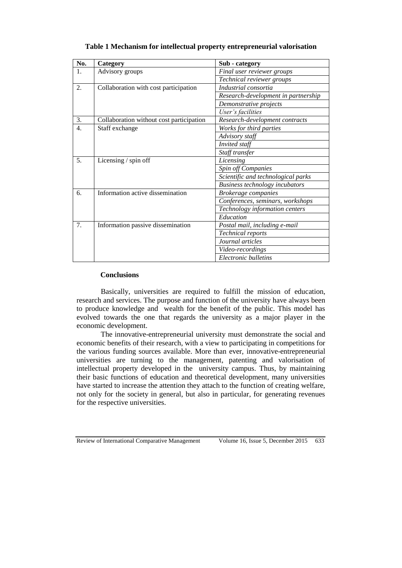| No.              | Category                                 | Sub - category                        |
|------------------|------------------------------------------|---------------------------------------|
| 1.               | Advisory groups                          | Final user reviewer groups            |
|                  |                                          | Technical reviewer groups             |
| 2.               | Collaboration with cost participation    | Industrial consortia                  |
|                  |                                          | Research-development in partnership   |
|                  |                                          | Demonstrative projects                |
|                  |                                          | User's facilities                     |
| 3.               | Collaboration without cost participation | Research-development contracts        |
| $\overline{4}$ . | Staff exchange                           | Works for third parties               |
|                  |                                          | Advisory staff                        |
|                  |                                          | Invited staff                         |
|                  |                                          | Staff transfer                        |
| 5.               | Licensing / spin off                     | Licensing                             |
|                  |                                          | Spin off Companies                    |
|                  |                                          | Scientific and technological parks    |
|                  |                                          | <b>Business technology incubators</b> |
| 6.               | Information active dissemination         | <b>Brokerage</b> companies            |
|                  |                                          | Conferences, seminars, workshops      |
|                  |                                          | Technology information centers        |
|                  |                                          | Education                             |
| 7.               | Information passive dissemination        | Postal mail, including e-mail         |
|                  |                                          | Technical reports                     |
|                  |                                          | Journal articles                      |
|                  |                                          | Video-recordings                      |
|                  |                                          | Electronic bulletins                  |

# **Table 1 Mechanism for intellectual property entrepreneurial valorisation**

### **Conclusions**

Basically, universities are required to fulfill the mission of education, research and services. The purpose and function of the university have always been to produce knowledge and wealth for the benefit of the public. This model has evolved towards the one that regards the university as a major player in the economic development.

The innovative-entrepreneurial university must demonstrate the social and economic benefits of their research, with a view to participating in competitions for the various funding sources available. More than ever, innovative-entrepreneurial universities are turning to the management, patenting and valorisation of intellectual property developed in the university campus. Thus, by maintaining their basic functions of education and theoretical development, many universities have started to increase the attention they attach to the function of creating welfare, not only for the society in general, but also in particular, for generating revenues for the respective universities.

Review of International Comparative Management Volume 16, Issue 5, December 2015 633